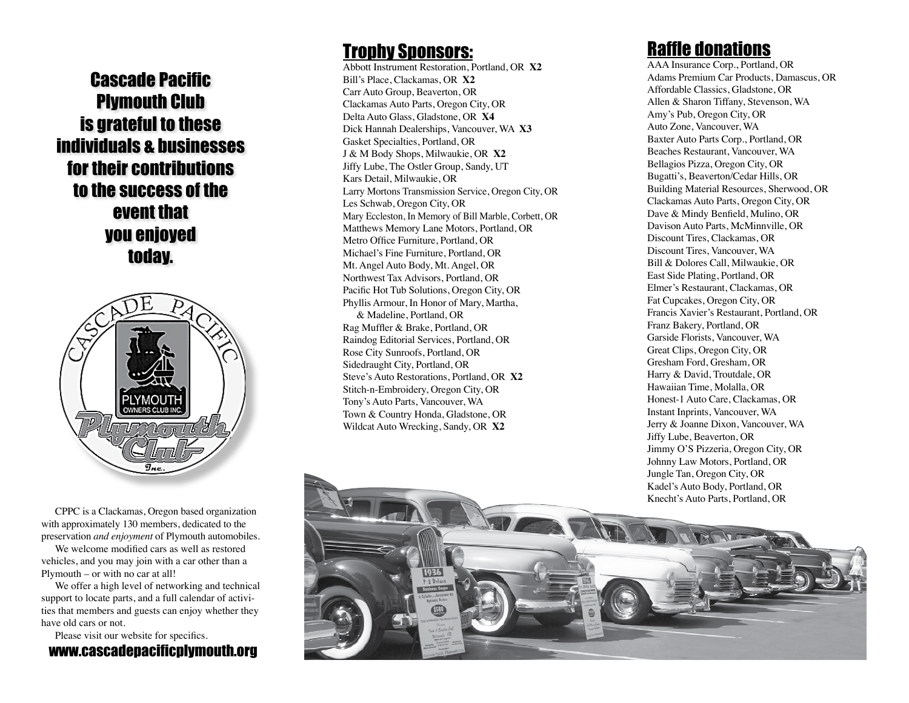Cascade Pacific Plymouth Club is grateful to these individuals & businesses for their contributions to the success of the event that you enjoyed today.



CPPC is a Clackamas, Oregon based organization with approximately 130 members, dedicated to the preservation *and enjoyment* of Plymouth automobiles.

We welcome modified cars as well as restored vehicles, and you may join with a car other than a Plymouth – or with no car at all!

We offer a high level of networking and technical support to locate parts, and a full calendar of activi ties that members and guests can enjoy whether they have old cars or not.

www.cascadepacificplymouth.org Please visit our website for specifics.

### **Trophy Sponsors:**

Abbott Instrument Restoration, Portland, OR **X2** Bill's Place, Clackamas, OR **X2** Carr Auto Group, Beaverton, OR Clackamas Auto Parts, Oregon City, OR Delta Auto Glass, Gladstone, OR **X4** Dick Hannah Dealerships, Vancouver, WA **X3** Gasket Specialties, Portland, OR J & M Body Shops, Milwaukie, OR **X2** Jiffy Lube, The Ostler Group, Sandy, UT Kars Detail, Milwaukie, OR Larry Mortons Transmission Service, Oregon City, OR Les Schwab, Oregon City, OR Mary Eccleston, In Memory of Bill Marble, Corbett, OR Matthews Memory Lane Motors, Portland, OR Metro Office Furniture, Portland, OR Michael's Fine Furniture, Portland, OR Mt. Angel Auto Body, Mt. Angel, OR Northwest Tax Advisors, Portland, OR Pacific Hot Tub Solutions, Oregon City, OR Phyllis Armour, In Honor of Mary, Martha, & Madeline, Portland, OR Rag Muffler & Brake, Portland, OR Raindog Editorial Services, Portland, OR Rose City Sunroofs, Portland, OR Sidedraught City, Portland, OR Steve's Auto Restorations, Portland, OR **X2** Stitch-n-Embroidery, Oregon City, OR Tony's Auto Parts, Vancouver, WA Town & Country Honda, Gladstone, OR Wildcat Auto Wrecking, Sandy, OR **X2**

### Raffle donations

AAA Insurance Corp., Portland, OR Adams Premium Car Products, Damascus, OR Affordable Classics, Gladstone, OR Allen & Sharon Tiffany, Stevenson, WA Amy's Pub, Oregon City, OR Auto Zone, Vancouver, WA Baxter Auto Parts Corp., Portland, OR Beaches Restaurant, Vancouver, WA Bellagios Pizza, Oregon City, OR Bugatti's, Beaverton/Cedar Hills, OR Building Material Resources, Sherwood, OR Clackamas Auto Parts, Oregon City, OR Dave & Mindy Benfield, Mulino, OR Davison Auto Parts, McMinnville, OR Discount Tires, Clackamas, OR Discount Tires, Vancouver, WA Bill & Dolores Call, Milwaukie, OR East Side Plating, Portland, OR Elmer's Restaurant, Clackamas, OR Fat Cupcakes, Oregon City, OR Francis Xavier's Restaurant, Portland, OR Franz Bakery, Portland, OR Garside Florists, Vancouver, WA Great Clips, Oregon City, OR Gresham Ford, Gresham, OR Harry & David, Troutdale, OR Hawaiian Time, Molalla, OR Honest-1 Auto Care, Clackamas, OR Instant Inprints, Vancouver, WA Jerry & Joanne Dixon, Vancouver, WA Jiffy Lube, Beaverton, OR Jimmy O'S Pizzeria, Oregon City, OR Johnny Law Motors, Portland, OR Jungle Tan, Oregon City, OR Kadel's Auto Body, Portland, OR Knecht's Auto Parts, Portland, OR